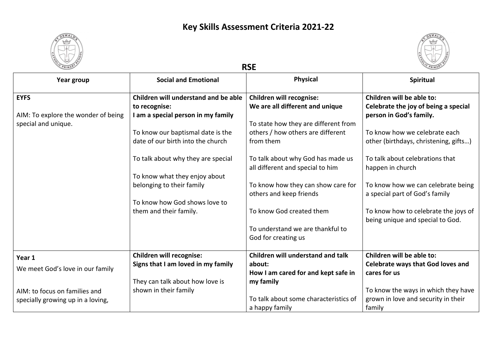



| Year group                                                                | <b>Social and Emotional</b>                                                                 | <b>Physical</b>                                                                                            | Spiritual                                                                                    |
|---------------------------------------------------------------------------|---------------------------------------------------------------------------------------------|------------------------------------------------------------------------------------------------------------|----------------------------------------------------------------------------------------------|
| <b>EYFS</b><br>AIM: To explore the wonder of being<br>special and unique. | Children will understand and be able<br>to recognise:<br>I am a special person in my family | <b>Children will recognise:</b><br>We are all different and unique<br>To state how they are different from | Children will be able to:<br>Celebrate the joy of being a special<br>person in God's family. |
|                                                                           | To know our baptismal date is the<br>date of our birth into the church                      | others / how others are different<br>from them                                                             | To know how we celebrate each<br>other (birthdays, christening, gifts)                       |
|                                                                           | To talk about why they are special<br>To know what they enjoy about                         | To talk about why God has made us<br>all different and special to him                                      | To talk about celebrations that<br>happen in church                                          |
|                                                                           | belonging to their family                                                                   | To know how they can show care for<br>others and keep friends                                              | To know how we can celebrate being<br>a special part of God's family                         |
|                                                                           | To know how God shows love to<br>them and their family.                                     | To know God created them                                                                                   | To know how to celebrate the joys of<br>being unique and special to God.                     |
|                                                                           |                                                                                             | To understand we are thankful to<br>God for creating us                                                    |                                                                                              |
| Year 1                                                                    | <b>Children will recognise:</b>                                                             | Children will understand and talk                                                                          | Children will be able to:                                                                    |
| We meet God's love in our family                                          | Signs that I am loved in my family                                                          | about:<br>How I am cared for and kept safe in                                                              | <b>Celebrate ways that God loves and</b><br>cares for us                                     |
| AIM: to focus on families and<br>specially growing up in a loving,        | They can talk about how love is<br>shown in their family                                    | my family<br>To talk about some characteristics of<br>a happy family                                       | To know the ways in which they have<br>grown in love and security in their<br>family         |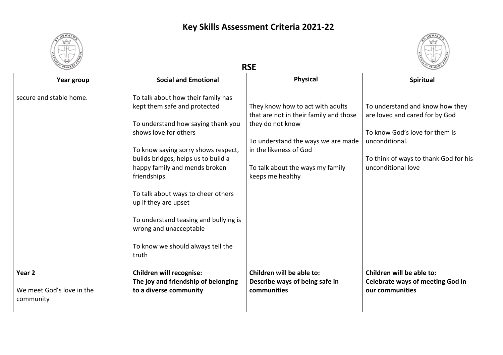



| Year group                                                  | <b>Social and Emotional</b>                                                                                                                                                                                                                                                                                                                                                                                                                     | <b>Physical</b>                                                                                                                                                                                                        | <b>Spiritual</b>                                                                                                                                                                     |
|-------------------------------------------------------------|-------------------------------------------------------------------------------------------------------------------------------------------------------------------------------------------------------------------------------------------------------------------------------------------------------------------------------------------------------------------------------------------------------------------------------------------------|------------------------------------------------------------------------------------------------------------------------------------------------------------------------------------------------------------------------|--------------------------------------------------------------------------------------------------------------------------------------------------------------------------------------|
| secure and stable home.                                     | To talk about how their family has<br>kept them safe and protected<br>To understand how saying thank you<br>shows love for others<br>To know saying sorry shows respect,<br>builds bridges, helps us to build a<br>happy family and mends broken<br>friendships.<br>To talk about ways to cheer others<br>up if they are upset<br>To understand teasing and bullying is<br>wrong and unacceptable<br>To know we should always tell the<br>truth | They know how to act with adults<br>that are not in their family and those<br>they do not know<br>To understand the ways we are made<br>in the likeness of God<br>To talk about the ways my family<br>keeps me healthy | To understand and know how they<br>are loved and cared for by God<br>To know God's love for them is<br>unconditional.<br>To think of ways to thank God for his<br>unconditional love |
| Year <sub>2</sub><br>We meet God's love in the<br>community | <b>Children will recognise:</b><br>The joy and friendship of belonging<br>to a diverse community                                                                                                                                                                                                                                                                                                                                                | Children will be able to:<br>Describe ways of being safe in<br>communities                                                                                                                                             | Children will be able to:<br><b>Celebrate ways of meeting God in</b><br>our communities                                                                                              |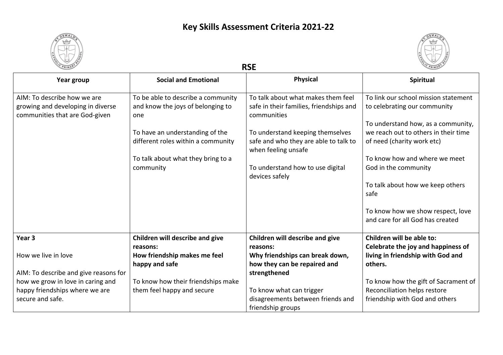



| Year group                                                          | <b>Social and Emotional</b>              | <b>Physical</b>                                              | <b>Spiritual</b>                                                      |
|---------------------------------------------------------------------|------------------------------------------|--------------------------------------------------------------|-----------------------------------------------------------------------|
| AIM: To describe how we are                                         | To be able to describe a community       | To talk about what makes them feel                           | To link our school mission statement                                  |
| growing and developing in diverse<br>communities that are God-given | and know the joys of belonging to<br>one | safe in their families, friendships and<br>communities       | to celebrating our community                                          |
|                                                                     |                                          |                                                              | To understand how, as a community,                                    |
|                                                                     | To have an understanding of the          | To understand keeping themselves                             | we reach out to others in their time                                  |
|                                                                     | different roles within a community       | safe and who they are able to talk to<br>when feeling unsafe | of need (charity work etc)                                            |
|                                                                     | To talk about what they bring to a       |                                                              | To know how and where we meet                                         |
|                                                                     | community                                | To understand how to use digital<br>devices safely           | God in the community                                                  |
|                                                                     |                                          |                                                              | To talk about how we keep others<br>safe                              |
|                                                                     |                                          |                                                              | To know how we show respect, love<br>and care for all God has created |
| Year <sub>3</sub>                                                   | Children will describe and give          | Children will describe and give                              | Children will be able to:                                             |
|                                                                     | reasons:                                 | reasons:                                                     | Celebrate the joy and happiness of                                    |
| How we live in love                                                 | How friendship makes me feel             | Why friendships can break down,                              | living in friendship with God and                                     |
|                                                                     | happy and safe                           | how they can be repaired and                                 | others.                                                               |
| AIM: To describe and give reasons for                               |                                          | strengthened                                                 |                                                                       |
| how we grow in love in caring and                                   | To know how their friendships make       |                                                              | To know how the gift of Sacrament of                                  |
| happy friendships where we are                                      | them feel happy and secure               | To know what can trigger                                     | Reconciliation helps restore                                          |
| secure and safe.                                                    |                                          | disagreements between friends and                            | friendship with God and others                                        |
|                                                                     |                                          | friendship groups                                            |                                                                       |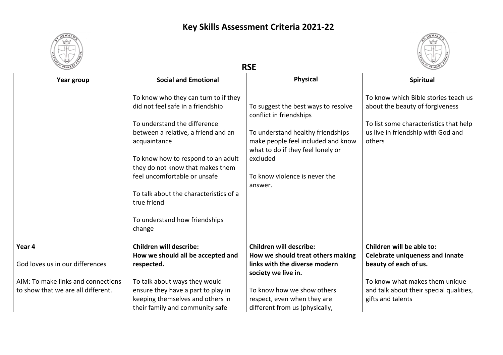



| CPRIMARY                           |                                                       | <b>RSE</b>                                                              |                                         |
|------------------------------------|-------------------------------------------------------|-------------------------------------------------------------------------|-----------------------------------------|
| Year group                         | <b>Social and Emotional</b>                           | <b>Physical</b>                                                         | <b>Spiritual</b>                        |
|                                    | To know who they can turn to if they                  |                                                                         | To know which Bible stories teach us    |
|                                    | did not feel safe in a friendship                     | To suggest the best ways to resolve<br>conflict in friendships          | about the beauty of forgiveness         |
|                                    | To understand the difference                          |                                                                         | To list some characteristics that help  |
|                                    | between a relative, a friend and an                   | To understand healthy friendships                                       | us live in friendship with God and      |
|                                    | acquaintance                                          | make people feel included and know<br>what to do if they feel lonely or | others                                  |
|                                    | To know how to respond to an adult                    | excluded                                                                |                                         |
|                                    | they do not know that makes them                      |                                                                         |                                         |
|                                    | feel uncomfortable or unsafe                          | To know violence is never the                                           |                                         |
|                                    |                                                       | answer.                                                                 |                                         |
|                                    | To talk about the characteristics of a<br>true friend |                                                                         |                                         |
|                                    | To understand how friendships                         |                                                                         |                                         |
|                                    | change                                                |                                                                         |                                         |
| Year 4                             | <b>Children will describe:</b>                        | <b>Children will describe:</b>                                          | Children will be able to:               |
|                                    | How we should all be accepted and                     | How we should treat others making                                       | <b>Celebrate uniqueness and innate</b>  |
| God loves us in our differences    | respected.                                            | links with the diverse modern                                           | beauty of each of us.                   |
|                                    |                                                       | society we live in.                                                     |                                         |
| AIM: To make links and connections | To talk about ways they would                         |                                                                         | To know what makes them unique          |
| to show that we are all different. | ensure they have a part to play in                    | To know how we show others                                              | and talk about their special qualities, |
|                                    | keeping themselves and others in                      | respect, even when they are                                             | gifts and talents                       |
|                                    | their family and community safe                       | different from us (physically,                                          |                                         |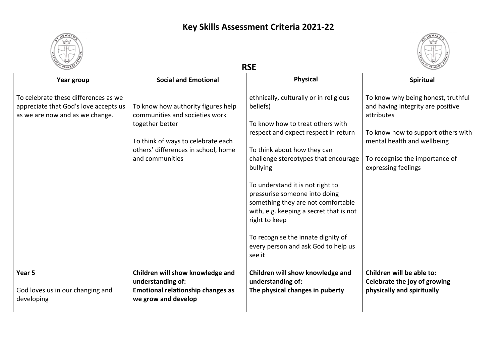



| Year group                                                                                                       | <b>Social and Emotional</b>                                                                                                                                                             | <b>Physical</b>                                                                                                                                                                                                                                                                                                                                                                                                                                                                 | Spiritual                                                                                                                                                                                                           |
|------------------------------------------------------------------------------------------------------------------|-----------------------------------------------------------------------------------------------------------------------------------------------------------------------------------------|---------------------------------------------------------------------------------------------------------------------------------------------------------------------------------------------------------------------------------------------------------------------------------------------------------------------------------------------------------------------------------------------------------------------------------------------------------------------------------|---------------------------------------------------------------------------------------------------------------------------------------------------------------------------------------------------------------------|
| To celebrate these differences as we<br>appreciate that God's love accepts us<br>as we are now and as we change. | To know how authority figures help<br>communities and societies work<br>together better<br>To think of ways to celebrate each<br>others' differences in school, home<br>and communities | ethnically, culturally or in religious<br>beliefs)<br>To know how to treat others with<br>respect and expect respect in return<br>To think about how they can<br>challenge stereotypes that encourage<br>bullying<br>To understand it is not right to<br>pressurise someone into doing<br>something they are not comfortable<br>with, e.g. keeping a secret that is not<br>right to keep<br>To recognise the innate dignity of<br>every person and ask God to help us<br>see it | To know why being honest, truthful<br>and having integrity are positive<br>attributes<br>To know how to support others with<br>mental health and wellbeing<br>To recognise the importance of<br>expressing feelings |
| Year 5<br>God loves us in our changing and<br>developing                                                         | Children will show knowledge and<br>understanding of:<br><b>Emotional relationship changes as</b><br>we grow and develop                                                                | Children will show knowledge and<br>understanding of:<br>The physical changes in puberty                                                                                                                                                                                                                                                                                                                                                                                        | Children will be able to:<br>Celebrate the joy of growing<br>physically and spiritually                                                                                                                             |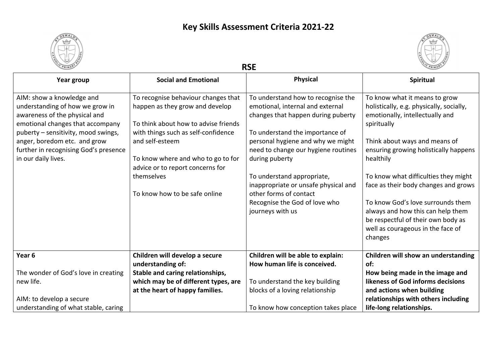



| PRIMAR                                                                                                                                                                                                                                                                   | <b>RSE</b>                                                                                                                                                                                                                                                                                        |                                                                                                                                                                                                                                                                                                                                                                                                    |                                                                                                                                                                                                                                                                                                                                                                                                                    |  |
|--------------------------------------------------------------------------------------------------------------------------------------------------------------------------------------------------------------------------------------------------------------------------|---------------------------------------------------------------------------------------------------------------------------------------------------------------------------------------------------------------------------------------------------------------------------------------------------|----------------------------------------------------------------------------------------------------------------------------------------------------------------------------------------------------------------------------------------------------------------------------------------------------------------------------------------------------------------------------------------------------|--------------------------------------------------------------------------------------------------------------------------------------------------------------------------------------------------------------------------------------------------------------------------------------------------------------------------------------------------------------------------------------------------------------------|--|
| Year group                                                                                                                                                                                                                                                               | <b>Social and Emotional</b>                                                                                                                                                                                                                                                                       | <b>Physical</b>                                                                                                                                                                                                                                                                                                                                                                                    | Spiritual                                                                                                                                                                                                                                                                                                                                                                                                          |  |
| AIM: show a knowledge and<br>understanding of how we grow in<br>awareness of the physical and<br>emotional changes that accompany<br>puberty - sensitivity, mood swings,<br>anger, boredom etc. and grow<br>further in recognising God's presence<br>in our daily lives. | To recognise behaviour changes that<br>happen as they grow and develop<br>To think about how to advise friends<br>with things such as self-confidence<br>and self-esteem<br>To know where and who to go to for<br>advice or to report concerns for<br>themselves<br>To know how to be safe online | To understand how to recognise the<br>emotional, internal and external<br>changes that happen during puberty<br>To understand the importance of<br>personal hygiene and why we might<br>need to change our hygiene routines<br>during puberty<br>To understand appropriate,<br>inappropriate or unsafe physical and<br>other forms of contact<br>Recognise the God of love who<br>journeys with us | To know what it means to grow<br>holistically, e.g. physically, socially,<br>emotionally, intellectually and<br>spiritually<br>Think about ways and means of<br>ensuring growing holistically happens<br>healthily<br>To know what difficulties they might<br>face as their body changes and grows<br>To know God's love surrounds them<br>always and how this can help them<br>be respectful of their own body as |  |
| Year <sub>6</sub>                                                                                                                                                                                                                                                        | Children will develop a secure                                                                                                                                                                                                                                                                    | Children will be able to explain:                                                                                                                                                                                                                                                                                                                                                                  | well as courageous in the face of<br>changes<br>Children will show an understanding                                                                                                                                                                                                                                                                                                                                |  |
| The wonder of God's love in creating<br>new life.<br>AIM: to develop a secure                                                                                                                                                                                            | understanding of:<br>Stable and caring relationships,<br>which may be of different types, are<br>at the heart of happy families.                                                                                                                                                                  | How human life is conceived.<br>To understand the key building<br>blocks of a loving relationship<br>To know how conception takes place                                                                                                                                                                                                                                                            | of:<br>How being made in the image and<br>likeness of God informs decisions<br>and actions when building<br>relationships with others including<br>life-long relationships.                                                                                                                                                                                                                                        |  |
| understanding of what stable, caring                                                                                                                                                                                                                                     |                                                                                                                                                                                                                                                                                                   |                                                                                                                                                                                                                                                                                                                                                                                                    |                                                                                                                                                                                                                                                                                                                                                                                                                    |  |